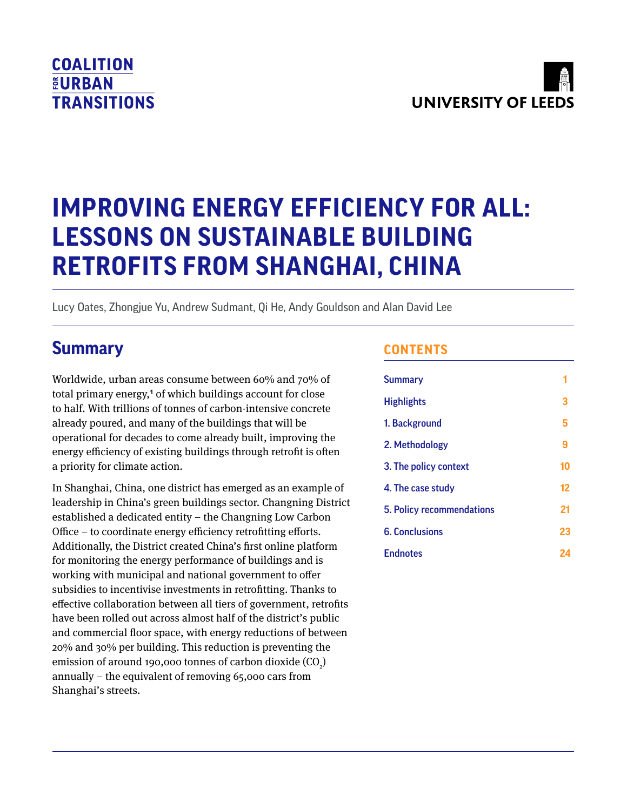# **COALITION EURBAN TRANSITIONS**



# **IMPROVING ENERGY EFFICIENCY FOR ALL: LESSONS ON SUSTAINABLE BUILDING RETROFITS FROM SHANGHAI, CHINA**

Lucy Oates, Zhongjue Yu, Andrew Sudmant, Qi He, Andy Gouldson and Alan David Lee

# **Summary**

Worldwide, urban areas consume between 60% and 70% of total primary energy,**<sup>1</sup>** of which buildings account for close to half. With trillions of tonnes of carbon-intensive concrete already poured, and many of the buildings that will be operational for decades to come already built, improving the energy efficiency of existing buildings through retrofit is often a priority for climate action.

In Shanghai, China, one district has emerged as an example of leadership in China's green buildings sector. Changning District established a dedicated entity – the Changning Low Carbon Office – to coordinate energy efficiency retrofitting efforts. Additionally, the District created China's first online platform for monitoring the energy performance of buildings and is working with municipal and national government to offer subsidies to incentivise investments in retrofitting. Thanks to effective collaboration between all tiers of government, retrofits have been rolled out across almost half of the district's public and commercial floor space, with energy reductions of between 20% and 30% per building. This reduction is preventing the emission of around 190,000 tonnes of carbon dioxide (CO $_{\textrm{\tiny{\it 2}}})$ annually – the equivalent of removing 65,000 cars from Shanghai's streets.

# **CONTENTS**

| <b>Summary</b>            |    |
|---------------------------|----|
| <b>Highlights</b>         | 3  |
| 1. Background             | 5  |
| 2. Methodology            | 9  |
| 3. The policy context     | 10 |
| 4. The case study         | 12 |
| 5. Policy recommendations | 21 |
| <b>6. Conclusions</b>     | 23 |
| <b>Endnotes</b>           | 24 |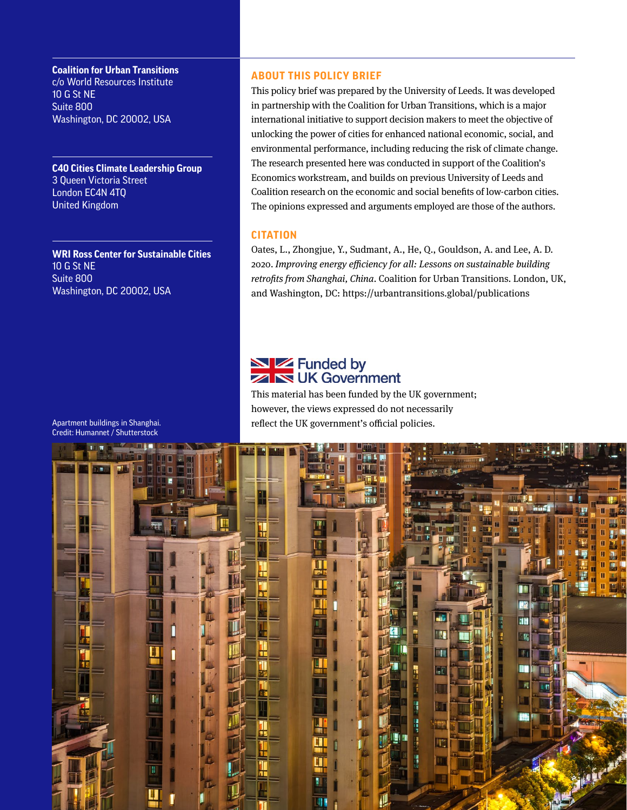**Coalition for Urban Transitions**  c/o World Resources Institute 10 G St NE Suite 800 Washington, DC 20002, USA

**C40 Cities Climate Leadership Group** 3 Queen Victoria Street London EC4N 4TQ United Kingdom

**WRI Ross Center for Sustainable Cities** 10 G St NE Suite 800 Washington, DC 20002, USA

#### **ABOUT THIS POLICY BRIEF**

This policy brief was prepared by the University of Leeds. It was developed in partnership with the Coalition for Urban Transitions, which is a major international initiative to support decision makers to meet the objective of unlocking the power of cities for enhanced national economic, social, and environmental performance, including reducing the risk of climate change. The research presented here was conducted in support of the Coalition's Economics workstream, and builds on previous University of Leeds and Coalition research on the economic and social benefits of low-carbon cities. The opinions expressed and arguments employed are those of the authors.

#### **CITATION**

Oates, L., Zhongjue, Y., Sudmant, A., He, Q., Gouldson, A. and Lee, A. D. 2020. *Improving energy efficiency for all: Lessons on sustainable building retrofits from Shanghai, China*. Coalition for Urban Transitions. London, UK, and Washington, DC: <https://urbantransitions.global/publications>

# NZ Funded by **ZIN UK Government**

This material has been funded by the UK government; however, the views expressed do not necessarily reflect the UK government's official policies.



Apartment buildings in Shanghai. Credit: Humannet / Shutterstock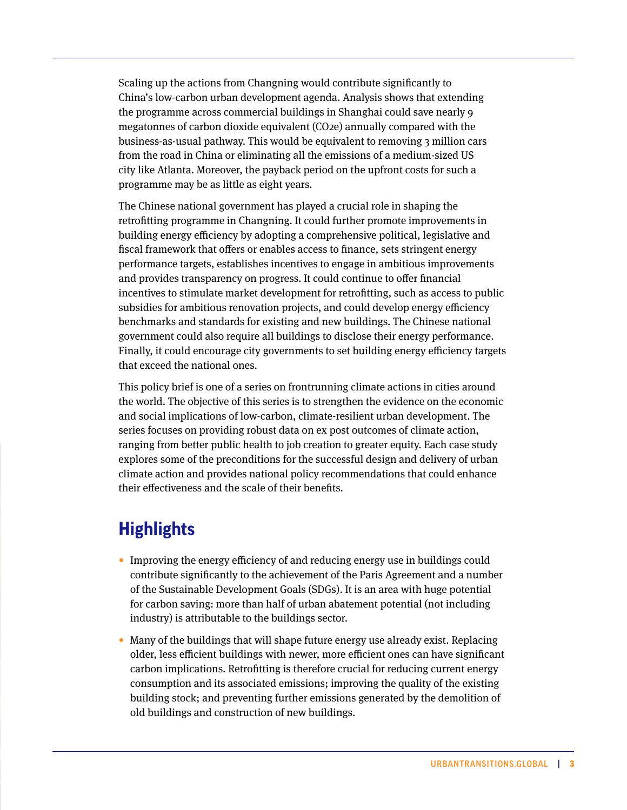<span id="page-2-0"></span>Scaling up the actions from Changning would contribute significantly to China's low-carbon urban development agenda. Analysis shows that extending the programme across commercial buildings in Shanghai could save nearly 9 megatonnes of carbon dioxide equivalent (CO2e) annually compared with the business-as-usual pathway. This would be equivalent to removing 3 million cars from the road in China or eliminating all the emissions of a medium-sized US city like Atlanta. Moreover, the payback period on the upfront costs for such a programme may be as little as eight years.

The Chinese national government has played a crucial role in shaping the retrofitting programme in Changning. It could further promote improvements in building energy efficiency by adopting a comprehensive political, legislative and fiscal framework that offers or enables access to finance, sets stringent energy performance targets, establishes incentives to engage in ambitious improvements and provides transparency on progress. It could continue to offer financial incentives to stimulate market development for retrofitting, such as access to public subsidies for ambitious renovation projects, and could develop energy efficiency benchmarks and standards for existing and new buildings. The Chinese national government could also require all buildings to disclose their energy performance. Finally, it could encourage city governments to set building energy efficiency targets that exceed the national ones.

This policy brief is one of a series on frontrunning climate actions in cities around the world. The objective of this series is to strengthen the evidence on the economic and social implications of low-carbon, climate-resilient urban development. The series focuses on providing robust data on ex post outcomes of climate action, ranging from better public health to job creation to greater equity. Each case study explores some of the preconditions for the successful design and delivery of urban climate action and provides national policy recommendations that could enhance their effectiveness and the scale of their benefits.

# **Highlights**

- **•** Improving the energy efficiency of and reducing energy use in buildings could contribute significantly to the achievement of the Paris Agreement and a number of the Sustainable Development Goals (SDGs). It is an area with huge potential for carbon saving: more than half of urban abatement potential (not including industry) is attributable to the buildings sector.
- **•** Many of the buildings that will shape future energy use already exist. Replacing older, less efficient buildings with newer, more efficient ones can have significant carbon implications. Retrofitting is therefore crucial for reducing current energy consumption and its associated emissions; improving the quality of the existing building stock; and preventing further emissions generated by the demolition of old buildings and construction of new buildings.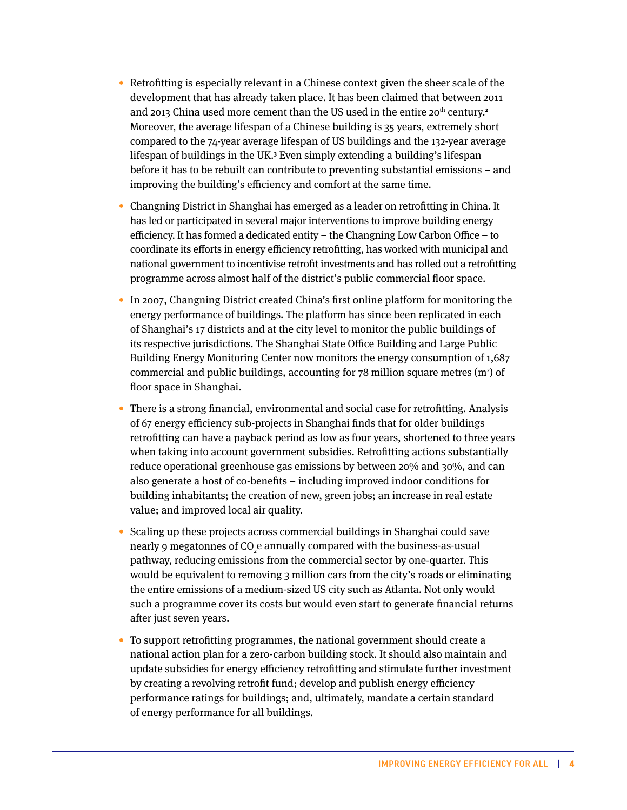- **•** Retrofitting is especially relevant in a Chinese context given the sheer scale of the development that has already taken place. It has been claimed that between 2011 and 2013 China used more cement than the US used in the entire 20<sup>th</sup> century.<sup>2</sup> Moreover, the average lifespan of a Chinese building is 35 years, extremely short compared to the 74-year average lifespan of US buildings and the 132-year average lifespan of buildings in the UK.**<sup>3</sup>** Even simply extending a building's lifespan before it has to be rebuilt can contribute to preventing substantial emissions – and improving the building's efficiency and comfort at the same time.
- **•** Changning District in Shanghai has emerged as a leader on retrofitting in China. It has led or participated in several major interventions to improve building energy efficiency. It has formed a dedicated entity – the Changning Low Carbon Office – to coordinate its efforts in energy efficiency retrofitting, has worked with municipal and national government to incentivise retrofit investments and has rolled out a retrofitting programme across almost half of the district's public commercial floor space.
- **•** In 2007, Changning District created China's first online platform for monitoring the energy performance of buildings. The platform has since been replicated in each of Shanghai's 17 districts and at the city level to monitor the public buildings of its respective jurisdictions. The Shanghai State Office Building and Large Public Building Energy Monitoring Center now monitors the energy consumption of 1,687 commercial and public buildings, accounting for  $78$  million square metres (m<sup>2</sup>) of floor space in Shanghai.
- **•** There is a strong financial, environmental and social case for retrofitting. Analysis of 67 energy efficiency sub-projects in Shanghai finds that for older buildings retrofitting can have a payback period as low as four years, shortened to three years when taking into account government subsidies. Retrofitting actions substantially reduce operational greenhouse gas emissions by between 20% and 30%, and can also generate a host of co-benefits – including improved indoor conditions for building inhabitants; the creation of new, green jobs; an increase in real estate value; and improved local air quality.
- **•** Scaling up these projects across commercial buildings in Shanghai could save nearly 9 megatonnes of CO<sub>2</sub>e annually compared with the business-as-usual pathway, reducing emissions from the commercial sector by one-quarter. This would be equivalent to removing 3 million cars from the city's roads or eliminating the entire emissions of a medium-sized US city such as Atlanta. Not only would such a programme cover its costs but would even start to generate financial returns after just seven years.
- **•** To support retrofitting programmes, the national government should create a national action plan for a zero-carbon building stock. It should also maintain and update subsidies for energy efficiency retrofitting and stimulate further investment by creating a revolving retrofit fund; develop and publish energy efficiency performance ratings for buildings; and, ultimately, mandate a certain standard of energy performance for all buildings.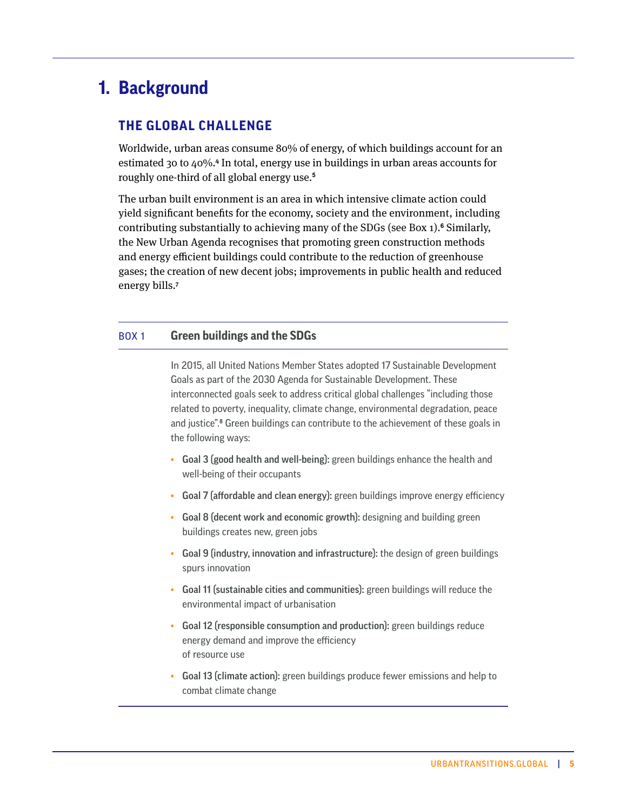# <span id="page-4-0"></span>**Background 1.**

# **THE GLOBAL CHALLENGE**

Worldwide, urban areas consume 80% of energy, of which buildings account for an estimated 30 to 40%.**<sup>4</sup>** In total, energy use in buildings in urban areas accounts for roughly one-third of all global energy use.**<sup>5</sup>**

The urban built environment is an area in which intensive climate action could yield significant benefits for the economy, society and the environment, including contributing substantially to achieving many of the SDGs (see Box 1).**<sup>6</sup>** Similarly, the New Urban Agenda recognises that promoting green construction methods and energy efficient buildings could contribute to the reduction of greenhouse gases; the creation of new decent jobs; improvements in public health and reduced energy bills.**<sup>7</sup>**

#### BOX 1 **Green buildings and the SDGs**

In 2015, all United Nations Member States adopted 17 Sustainable Development Goals as part of the 2030 Agenda for Sustainable Development. These interconnected goals seek to address critical global challenges "including those related to poverty, inequality, climate change, environmental degradation, peace and justice".**<sup>8</sup>** Green buildings can contribute to the achievement of these goals in the following ways:

- **•** Goal 3 (good health and well-being): green buildings enhance the health and well-being of their occupants
- **•** Goal 7 (affordable and clean energy): green buildings improve energy efficiency
- **•** Goal 8 (decent work and economic growth): designing and building green buildings creates new, green jobs
- **•** Goal 9 (industry, innovation and infrastructure): the design of green buildings spurs innovation
- **•** Goal 11 (sustainable cities and communities): green buildings will reduce the environmental impact of urbanisation
- **•** Goal 12 (responsible consumption and production): green buildings reduce energy demand and improve the efficiency of resource use
- **•** Goal 13 (climate action): green buildings produce fewer emissions and help to combat climate change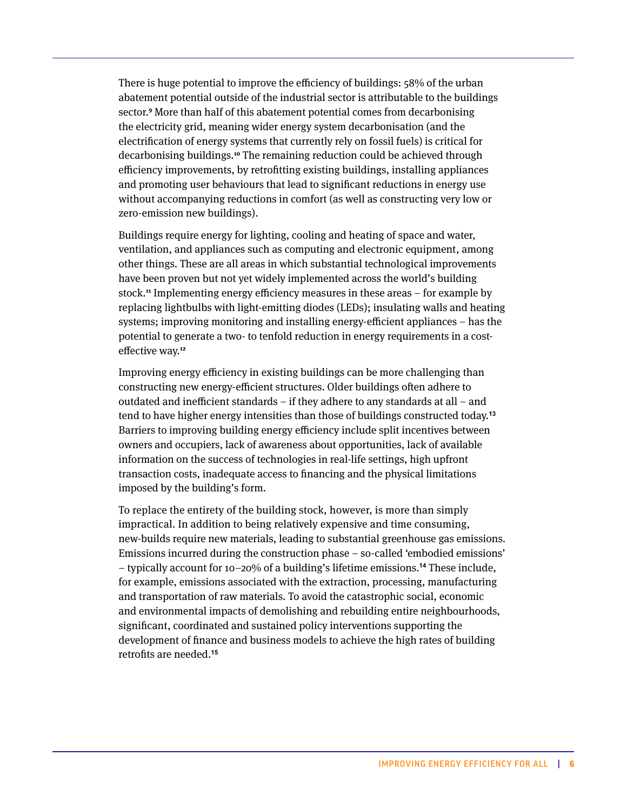There is huge potential to improve the efficiency of buildings: 58% of the urban abatement potential outside of the industrial sector is attributable to the buildings sector.**<sup>9</sup>** More than half of this abatement potential comes from decarbonising the electricity grid, meaning wider energy system decarbonisation (and the electrification of energy systems that currently rely on fossil fuels) is critical for decarbonising buildings.**<sup>10</sup>** The remaining reduction could be achieved through efficiency improvements, by retrofitting existing buildings, installing appliances and promoting user behaviours that lead to significant reductions in energy use without accompanying reductions in comfort (as well as constructing very low or zero-emission new buildings).

Buildings require energy for lighting, cooling and heating of space and water, ventilation, and appliances such as computing and electronic equipment, among other things. These are all areas in which substantial technological improvements have been proven but not yet widely implemented across the world's building stock.**<sup>11</sup>** Implementing energy efficiency measures in these areas – for example by replacing lightbulbs with light-emitting diodes (LEDs); insulating walls and heating systems; improving monitoring and installing energy-efficient appliances – has the potential to generate a two- to tenfold reduction in energy requirements in a costeffective way.**<sup>12</sup>**

Improving energy efficiency in existing buildings can be more challenging than constructing new energy-efficient structures. Older buildings often adhere to outdated and inefficient standards – if they adhere to any standards at all – and tend to have higher energy intensities than those of buildings constructed today.**<sup>13</sup>** Barriers to improving building energy efficiency include split incentives between owners and occupiers, lack of awareness about opportunities, lack of available information on the success of technologies in real-life settings, high upfront transaction costs, inadequate access to financing and the physical limitations imposed by the building's form.

To replace the entirety of the building stock, however, is more than simply impractical. In addition to being relatively expensive and time consuming, new-builds require new materials, leading to substantial greenhouse gas emissions. Emissions incurred during the construction phase – so-called 'embodied emissions' – typically account for 10–20% of a building's lifetime emissions.**14** These include, for example, emissions associated with the extraction, processing, manufacturing and transportation of raw materials. To avoid the catastrophic social, economic and environmental impacts of demolishing and rebuilding entire neighbourhoods, significant, coordinated and sustained policy interventions supporting the development of finance and business models to achieve the high rates of building retrofits are needed.**15**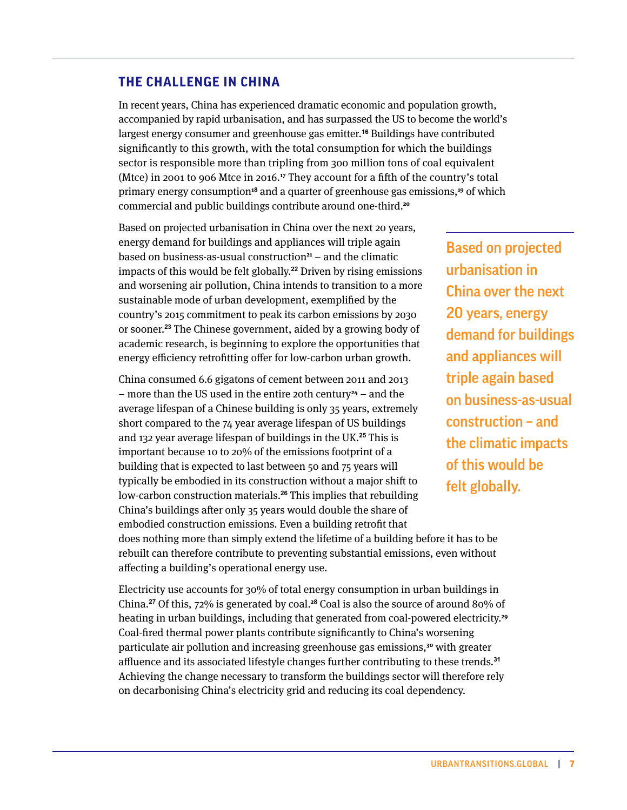## **THE CHALLENGE IN CHINA**

In recent years, China has experienced dramatic economic and population growth, accompanied by rapid urbanisation, and has surpassed the US to become the world's largest energy consumer and greenhouse gas emitter.**16** Buildings have contributed significantly to this growth, with the total consumption for which the buildings sector is responsible more than tripling from 300 million tons of coal equivalent (Mtce) in 2001 to 906 Mtce in 2016.**<sup>17</sup>** They account for a fifth of the country's total primary energy consumption**<sup>18</sup>** and a quarter of greenhouse gas emissions,**<sup>19</sup>** of which commercial and public buildings contribute around one-third.**<sup>20</sup>**

Based on projected urbanisation in China over the next 20 years, energy demand for buildings and appliances will triple again based on business-as-usual construction**<sup>21</sup>** – and the climatic impacts of this would be felt globally.**22** Driven by rising emissions and worsening air pollution, China intends to transition to a more sustainable mode of urban development, exemplified by the country's 2015 commitment to peak its carbon emissions by 2030 or sooner.**23** The Chinese government, aided by a growing body of academic research, is beginning to explore the opportunities that energy efficiency retrofitting offer for low-carbon urban growth.

China consumed 6.6 gigatons of cement between 2011 and 2013 – more than the US used in the entire 20th century**<sup>24</sup>** – and the average lifespan of a Chinese building is only 35 years, extremely short compared to the 74 year average lifespan of US buildings and 132 year average lifespan of buildings in the UK.**25** This is important because 10 to 20% of the emissions footprint of a building that is expected to last between 50 and 75 years will typically be embodied in its construction without a major shift to low-carbon construction materials.**26** This implies that rebuilding China's buildings after only 35 years would double the share of embodied construction emissions. Even a building retrofit that does nothing more than simply extend the lifetime of a building before it has to be rebuilt can therefore contribute to preventing substantial emissions, even without affecting a building's operational energy use.

Based on projected urbanisation in China over the next 20 years, energy demand for buildings and appliances will triple again based on business-as-usual construction – and the climatic impacts of this would be felt globally.

Electricity use accounts for 30% of total energy consumption in urban buildings in China.**27** Of this, 72% is generated by coal.**<sup>28</sup>** Coal is also the source of around 80% of heating in urban buildings, including that generated from coal-powered electricity.**<sup>29</sup>** Coal-fired thermal power plants contribute significantly to China's worsening particulate air pollution and increasing greenhouse gas emissions,**<sup>30</sup>** with greater affluence and its associated lifestyle changes further contributing to these trends.**<sup>31</sup>** Achieving the change necessary to transform the buildings sector will therefore rely on decarbonising China's electricity grid and reducing its coal dependency.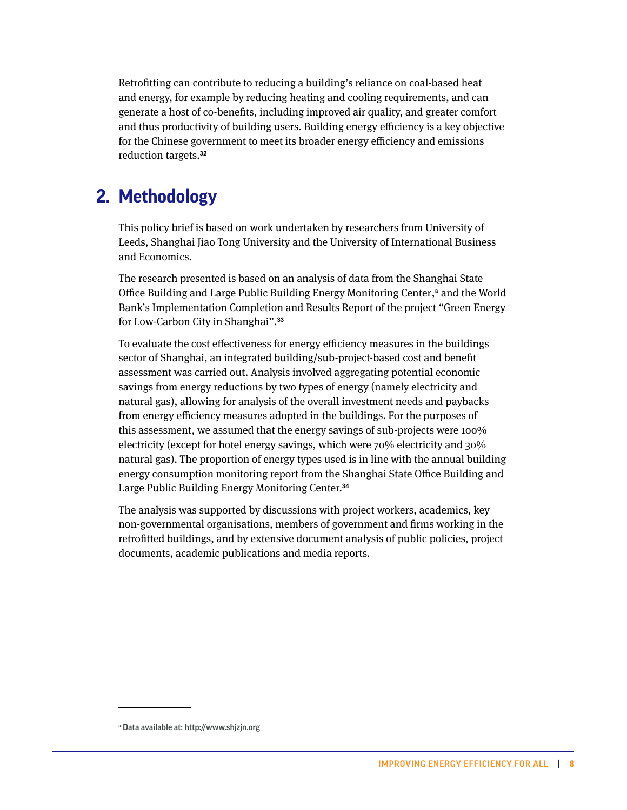Retrofitting can contribute to reducing a building's reliance on coal-based heat and energy, for example by reducing heating and cooling requirements, and can generate a host of co-benefits, including improved air quality, and greater comfort and thus productivity of building users. Building energy efficiency is a key objective for the Chinese government to meet its broader energy efficiency and emissions reduction targets.**<sup>32</sup>**

# **Methodology 2.**

This policy brief is based on work undertaken by researchers from University of Leeds, Shanghai Jiao Tong University and the University of International Business and Economics.

The research presented is based on an analysis of data from the Shanghai State Office Building and Large Public Building Energy Monitoring Center, $a$  and the World Bank's Implementation Completion and Results Report of the project "Green Energy for Low-Carbon City in Shanghai".**<sup>33</sup>**

To evaluate the cost effectiveness for energy efficiency measures in the buildings sector of Shanghai, an integrated building/sub-project-based cost and benefit assessment was carried out. Analysis involved aggregating potential economic savings from energy reductions by two types of energy (namely electricity and natural gas), allowing for analysis of the overall investment needs and paybacks from energy efficiency measures adopted in the buildings. For the purposes of this assessment, we assumed that the energy savings of sub-projects were 100% electricity (except for hotel energy savings, which were 70% electricity and 30% natural gas). The proportion of energy types used is in line with the annual building energy consumption monitoring report from the Shanghai State Office Building and Large Public Building Energy Monitoring Center.**<sup>34</sup>**

The analysis was supported by discussions with project workers, academics, key non-governmental organisations, members of government and firms working in the retrofitted buildings, and by extensive document analysis of public policies, project documents, academic publications and media reports.

a Data available at: [http://www.shjzjn.org](http://www.shjzjn.org	)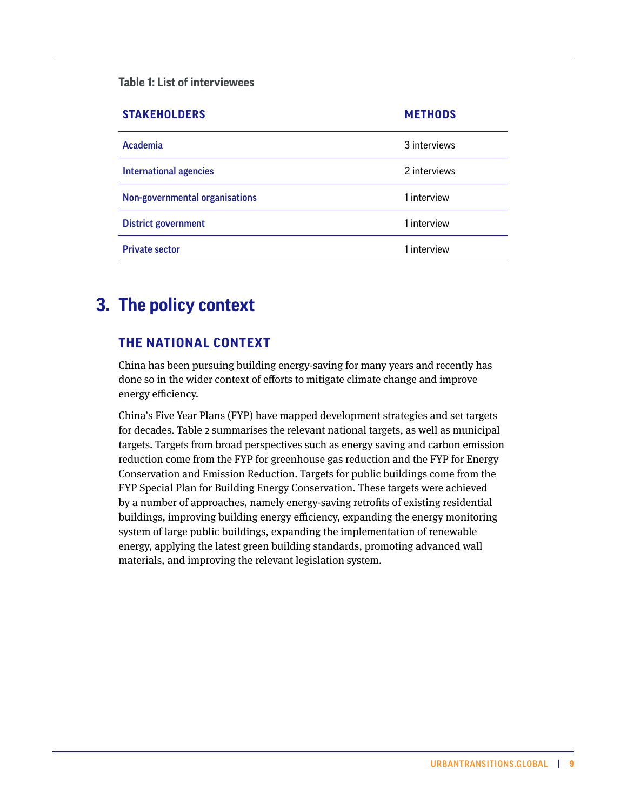<span id="page-8-0"></span>**Table 1: List of interviewees**

| <b>STAKEHOLDERS</b>            | <b>METHODS</b> |
|--------------------------------|----------------|
| Academia                       | 3 interviews   |
| <b>International agencies</b>  | 2 interviews   |
| Non-governmental organisations | 1 interview    |
| <b>District government</b>     | 1 interview    |
| <b>Private sector</b>          | 1 interview    |

# **The policy context 3.**

# **THE NATIONAL CONTEXT**

China has been pursuing building energy-saving for many years and recently has done so in the wider context of efforts to mitigate climate change and improve energy efficiency.

China's Five Year Plans (FYP) have mapped development strategies and set targets for decades. Table 2 summarises the relevant national targets, as well as municipal targets. Targets from broad perspectives such as energy saving and carbon emission reduction come from the FYP for greenhouse gas reduction and the FYP for Energy Conservation and Emission Reduction. Targets for public buildings come from the FYP Special Plan for Building Energy Conservation. These targets were achieved by a number of approaches, namely energy-saving retrofits of existing residential buildings, improving building energy efficiency, expanding the energy monitoring system of large public buildings, expanding the implementation of renewable energy, applying the latest green building standards, promoting advanced wall materials, and improving the relevant legislation system.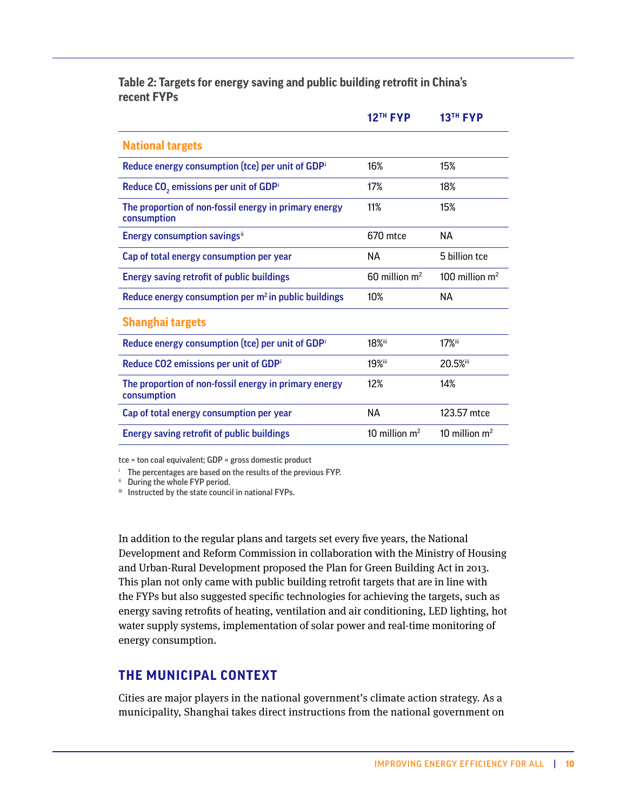<span id="page-9-0"></span>**Table 2: Targets for energy saving and public building retrofit in China's recent FYPs**

|                                                                      | <b>12TH FYP</b>             | <b>13TH FYP</b>  |
|----------------------------------------------------------------------|-----------------------------|------------------|
| <b>National targets</b>                                              |                             |                  |
| Reduce energy consumption (tce) per unit of GDPi                     | 16%                         | 15%              |
| Reduce CO <sub>2</sub> emissions per unit of GDPi                    | 17%                         | 18%              |
| The proportion of non-fossil energy in primary energy<br>consumption | 11%                         | 15%              |
| <b>Energy consumption savingsii</b>                                  | 670 mtce                    | NА               |
| Cap of total energy consumption per year                             | NА                          | 5 billion tce    |
| <b>Energy saving retrofit of public buildings</b>                    | $60$ million m <sup>2</sup> | 100 million $m2$ |
| Reduce energy consumption per $m2$ in public buildings               | 10%                         | NА               |
| <b>Shanghai targets</b>                                              |                             |                  |
| Reduce energy consumption (tce) per unit of GDPi                     | <b>18%</b> iii              | 17%iii           |
| Reduce CO2 emissions per unit of GDPi                                | <b>19%</b> iii              | 20.5%iii         |
| The proportion of non-fossil energy in primary energy<br>consumption | 12%                         | 14%              |
| Cap of total energy consumption per year                             | <b>NA</b>                   | 123.57 mtce      |
| <b>Energy saving retrofit of public buildings</b>                    | 10 million $m^2$            | 10 million $m2$  |

tce = ton coal equivalent; GDP = gross domestic product

<sup>i</sup> The percentages are based on the results of the previous FYP.

ii During the whole FYP period.

iii Instructed by the state council in national FYPs.

In addition to the regular plans and targets set every five years, the National Development and Reform Commission in collaboration with the Ministry of Housing and Urban-Rural Development proposed the Plan for Green Building Act in 2013. This plan not only came with public building retrofit targets that are in line with the FYPs but also suggested specific technologies for achieving the targets, such as energy saving retrofits of heating, ventilation and air conditioning, LED lighting, hot water supply systems, implementation of solar power and real-time monitoring of energy consumption.

### **THE MUNICIPAL CONTEXT**

Cities are major players in the national government's climate action strategy. As a municipality, Shanghai takes direct instructions from the national government on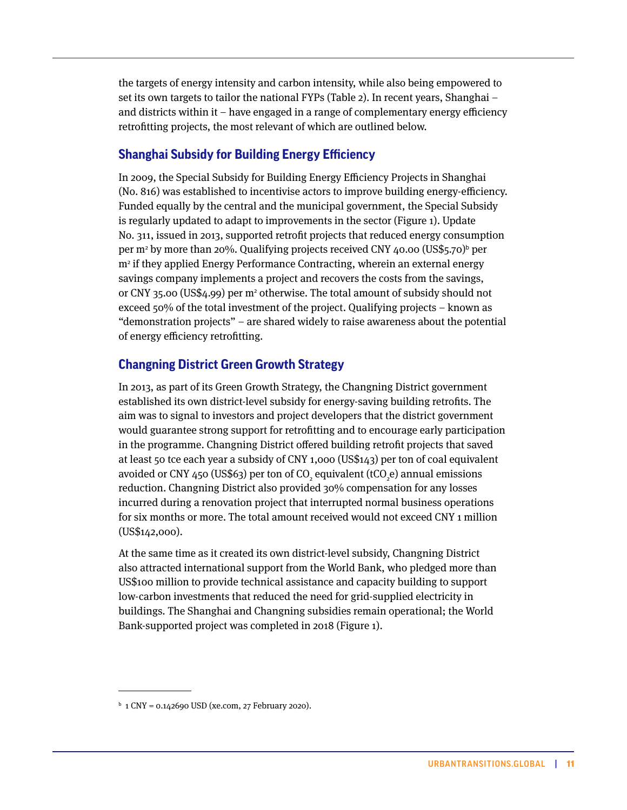the targets of energy intensity and carbon intensity, while also being empowered to set its own targets to tailor the national FYPs (Table 2). In recent years, Shanghai – and districts within it – have engaged in a range of complementary energy efficiency retrofitting projects, the most relevant of which are outlined below.

## **Shanghai Subsidy for Building Energy Efficiency**

In 2009, the Special Subsidy for Building Energy Efficiency Projects in Shanghai (No. 816) was established to incentivise actors to improve building energy-efficiency. Funded equally by the central and the municipal government, the Special Subsidy is regularly updated to adapt to improvements in the sector (Figure 1). Update No. 311, issued in 2013, supported retrofit projects that reduced energy consumption per m<sup>2</sup> by more than 20%. Qualifying projects received CNY 40.00 (US\$5.70)<sup>b</sup> per m2 if they applied Energy Performance Contracting, wherein an external energy savings company implements a project and recovers the costs from the savings, or CNY 35.00 (US\$4.99) per m<sup>2</sup> otherwise. The total amount of subsidy should not exceed 50% of the total investment of the project. Qualifying projects – known as "demonstration projects" – are shared widely to raise awareness about the potential of energy efficiency retrofitting.

# **Changning District Green Growth Strategy**

In 2013, as part of its Green Growth Strategy, the Changning District government established its own district-level subsidy for energy-saving building retrofits. The aim was to signal to investors and project developers that the district government would guarantee strong support for retrofitting and to encourage early participation in the programme. Changning District offered building retrofit projects that saved at least 50 tce each year a subsidy of CNY 1,000 (US\$143) per ton of coal equivalent avoided or CNY 450 (US\$63) per ton of CO<sub>2</sub> equivalent (tCO<sub>2</sub>e) annual emissions reduction. Changning District also provided 30% compensation for any losses incurred during a renovation project that interrupted normal business operations for six months or more. The total amount received would not exceed CNY 1 million (US\$142,000).

At the same time as it created its own district-level subsidy, Changning District also attracted international support from the World Bank, who pledged more than US\$100 million to provide technical assistance and capacity building to support low-carbon investments that reduced the need for grid-supplied electricity in buildings. The Shanghai and Changning subsidies remain operational; the World Bank-supported project was completed in 2018 (Figure 1).

b 1 CNY = 0.142690 USD (xe.com, 27 February 2020).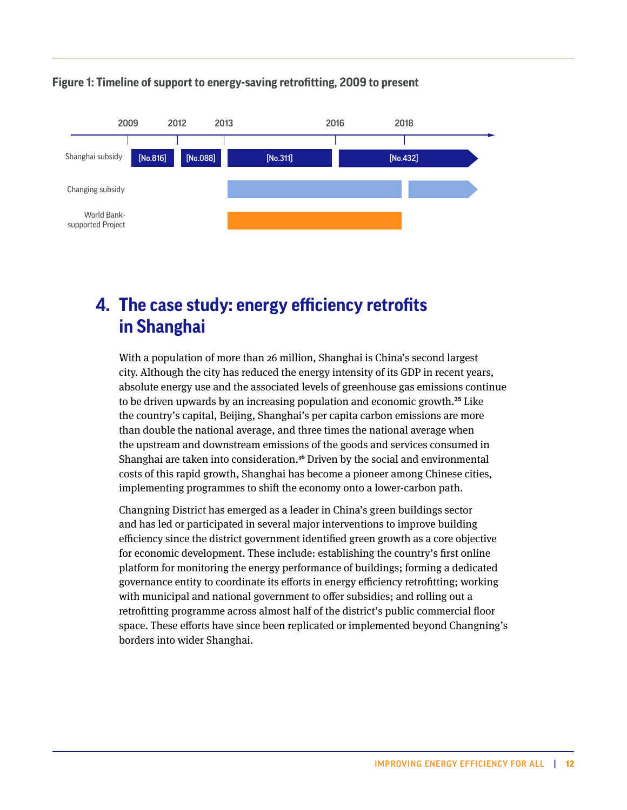#### <span id="page-11-0"></span>**Figure 1: Timeline of support to energy-saving retrofitting, 2009 to present**



# **The case study: energy efficiency retrofits 4.in Shanghai**

With a population of more than 26 million, Shanghai is China's second largest city. Although the city has reduced the energy intensity of its GDP in recent years, absolute energy use and the associated levels of greenhouse gas emissions continue to be driven upwards by an increasing population and economic growth.**35** Like the country's capital, Beijing, Shanghai's per capita carbon emissions are more than double the national average, and three times the national average when the upstream and downstream emissions of the goods and services consumed in Shanghai are taken into consideration.**<sup>36</sup>** Driven by the social and environmental costs of this rapid growth, Shanghai has become a pioneer among Chinese cities, implementing programmes to shift the economy onto a lower-carbon path.

Changning District has emerged as a leader in China's green buildings sector and has led or participated in several major interventions to improve building efficiency since the district government identified green growth as a core objective for economic development. These include: establishing the country's first online platform for monitoring the energy performance of buildings; forming a dedicated governance entity to coordinate its efforts in energy efficiency retrofitting; working with municipal and national government to offer subsidies; and rolling out a retrofitting programme across almost half of the district's public commercial floor space. These efforts have since been replicated or implemented beyond Changning's borders into wider Shanghai.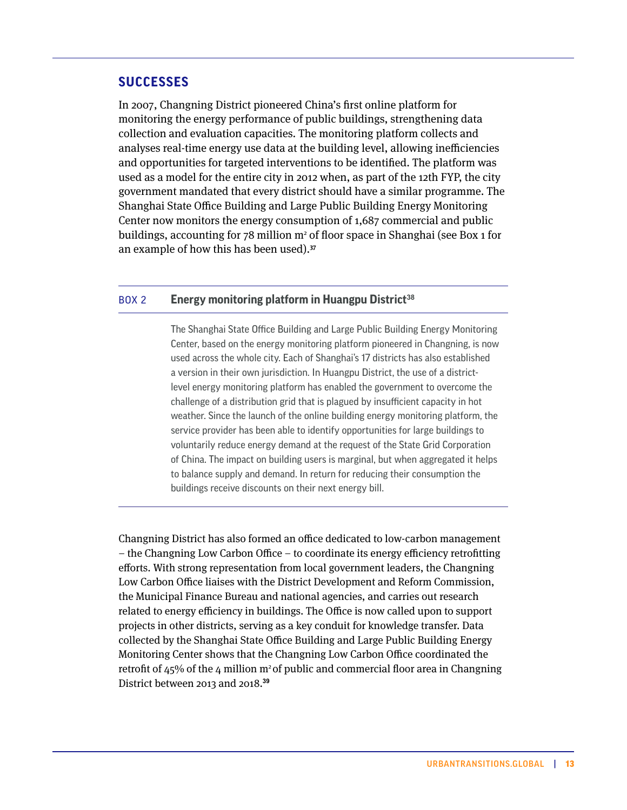### **SUCCESSES**

In 2007, Changning District pioneered China's first online platform for monitoring the energy performance of public buildings, strengthening data collection and evaluation capacities. The monitoring platform collects and analyses real-time energy use data at the building level, allowing inefficiencies and opportunities for targeted interventions to be identified. The platform was used as a model for the entire city in 2012 when, as part of the 12th FYP, the city government mandated that every district should have a similar programme. The Shanghai State Office Building and Large Public Building Energy Monitoring Center now monitors the energy consumption of 1,687 commercial and public buildings, accounting for  $78$  million  $m<sup>2</sup>$  of floor space in Shanghai (see Box 1 for an example of how this has been used).**<sup>37</sup>**

#### BOX 2 **Energy monitoring platform in Huangpu District<sup>38</sup>**

The Shanghai State Office Building and Large Public Building Energy Monitoring Center, based on the energy monitoring platform pioneered in Changning, is now used across the whole city. Each of Shanghai's 17 districts has also established a version in their own jurisdiction. In Huangpu District, the use of a districtlevel energy monitoring platform has enabled the government to overcome the challenge of a distribution grid that is plagued by insufficient capacity in hot weather. Since the launch of the online building energy monitoring platform, the service provider has been able to identify opportunities for large buildings to voluntarily reduce energy demand at the request of the State Grid Corporation of China. The impact on building users is marginal, but when aggregated it helps to balance supply and demand. In return for reducing their consumption the buildings receive discounts on their next energy bill.

Changning District has also formed an office dedicated to low-carbon management – the Changning Low Carbon Office – to coordinate its energy efficiency retrofitting efforts. With strong representation from local government leaders, the Changning Low Carbon Office liaises with the District Development and Reform Commission, the Municipal Finance Bureau and national agencies, and carries out research related to energy efficiency in buildings. The Office is now called upon to support projects in other districts, serving as a key conduit for knowledge transfer. Data collected by the Shanghai State Office Building and Large Public Building Energy Monitoring Center shows that the Changning Low Carbon Office coordinated the retrofit of  $45\%$  of the 4 million m<sup>2</sup> of public and commercial floor area in Changning District between 2013 and 2018.**39**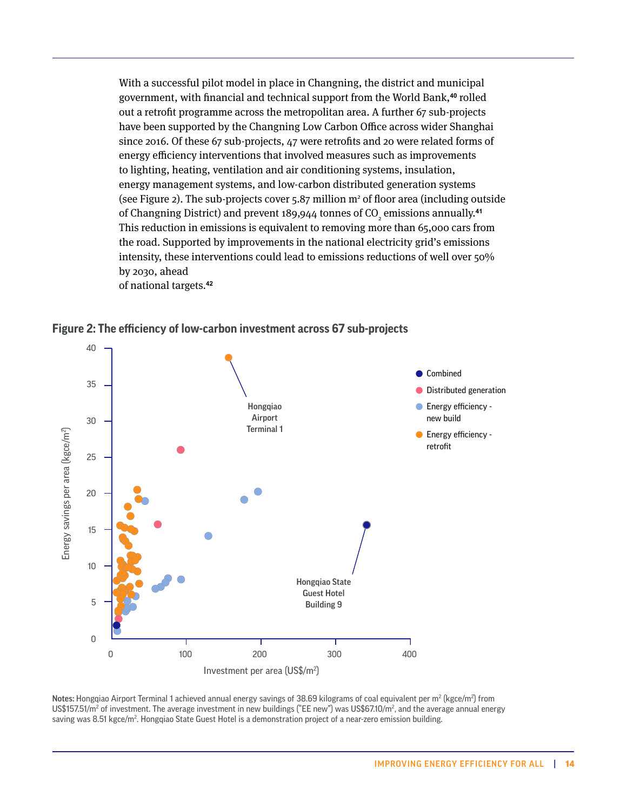With a successful pilot model in place in Changning, the district and municipal government, with financial and technical support from the World Bank,**40** rolled out a retrofit programme across the metropolitan area. A further 67 sub-projects have been supported by the Changning Low Carbon Office across wider Shanghai since 2016. Of these 67 sub-projects, 47 were retrofits and 20 were related forms of energy efficiency interventions that involved measures such as improvements to lighting, heating, ventilation and air conditioning systems, insulation, energy management systems, and low-carbon distributed generation systems (see Figure 2). The sub-projects cover  $5.87$  million  $m<sup>2</sup>$  of floor area (including outside of Changning District) and prevent 189,944 tonnes of CO<sub>2</sub> emissions annually.<sup>41</sup> This reduction in emissions is equivalent to removing more than 65,000 cars from the road. Supported by improvements in the national electricity grid's emissions intensity, these interventions could lead to emissions reductions of well over 50% by 2030, ahead of national targets.**<sup>42</sup>**

**Figure 2: The efficiency of low-carbon investment across 67 sub-projects**



Notes: Hongqiao Airport Terminal 1 achieved annual energy savings of 38.69 kilograms of coal equivalent per m² (kgce/m²) from US\$157.51/m² of investment. The average investment in new buildings ("EE new") was US\$67.10/m², and the average annual energy saving was 8.51 kgce/m². Hongqiao State Guest Hotel is a demonstration project of a near-zero emission building.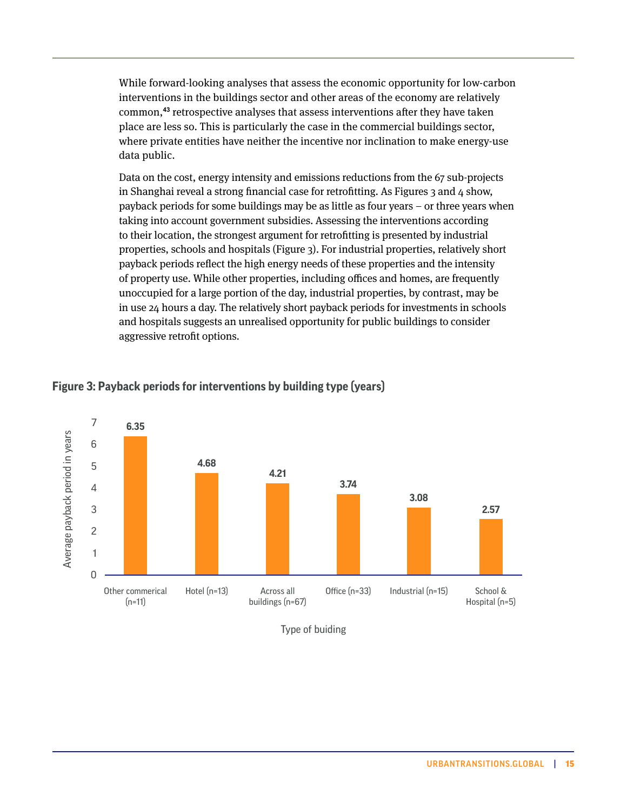While forward-looking analyses that assess the economic opportunity for low-carbon interventions in the buildings sector and other areas of the economy are relatively common,**43** retrospective analyses that assess interventions after they have taken place are less so. This is particularly the case in the commercial buildings sector, where private entities have neither the incentive nor inclination to make energy-use data public.

Data on the cost, energy intensity and emissions reductions from the 67 sub-projects in Shanghai reveal a strong financial case for retrofitting. As Figures 3 and 4 show, payback periods for some buildings may be as little as four years – or three years when taking into account government subsidies. Assessing the interventions according to their location, the strongest argument for retrofitting is presented by industrial properties, schools and hospitals (Figure 3). For industrial properties, relatively short payback periods reflect the high energy needs of these properties and the intensity of property use. While other properties, including offices and homes, are frequently unoccupied for a large portion of the day, industrial properties, by contrast, may be in use 24 hours a day. The relatively short payback periods for investments in schools and hospitals suggests an unrealised opportunity for public buildings to consider aggressive retrofit options.



#### **Figure 3: Payback periods for interventions by building type (years)**

Type of buiding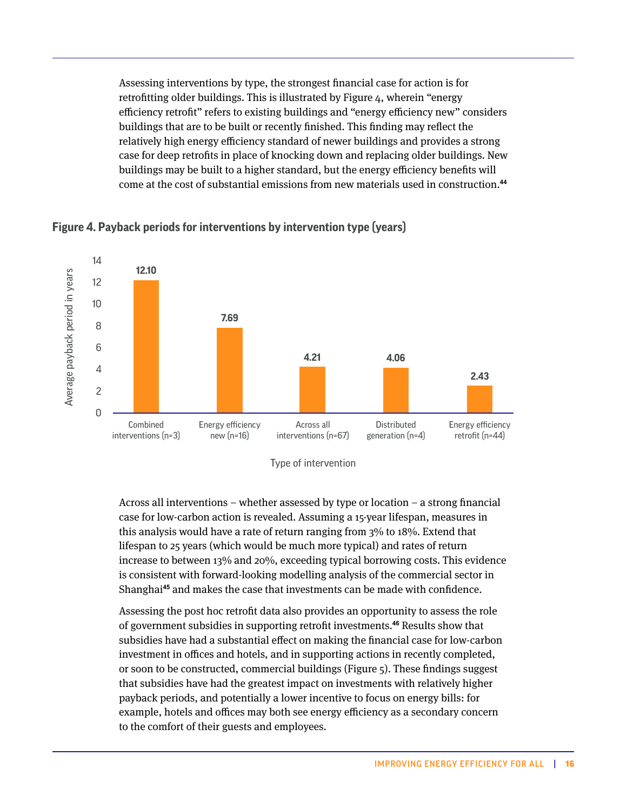Assessing interventions by type, the strongest financial case for action is for retrofitting older buildings. This is illustrated by Figure 4, wherein "energy efficiency retrofit" refers to existing buildings and "energy efficiency new" considers buildings that are to be built or recently finished. This finding may reflect the relatively high energy efficiency standard of newer buildings and provides a strong case for deep retrofits in place of knocking down and replacing older buildings. New buildings may be built to a higher standard, but the energy efficiency benefits will come at the cost of substantial emissions from new materials used in construction.**<sup>44</sup>**



**Figure 4. Payback periods for interventions by intervention type (years)**

Type of intervention

Across all interventions – whether assessed by type or location – a strong financial case for low-carbon action is revealed. Assuming a 15-year lifespan, measures in this analysis would have a rate of return ranging from 3% to 18%. Extend that lifespan to 25 years (which would be much more typical) and rates of return increase to between 13% and 20%, exceeding typical borrowing costs. This evidence is consistent with forward-looking modelling analysis of the commercial sector in Shanghai**45** and makes the case that investments can be made with confidence.

Assessing the post hoc retrofit data also provides an opportunity to assess the role of government subsidies in supporting retrofit investments.**46** Results show that subsidies have had a substantial effect on making the financial case for low-carbon investment in offices and hotels, and in supporting actions in recently completed, or soon to be constructed, commercial buildings (Figure 5). These findings suggest that subsidies have had the greatest impact on investments with relatively higher payback periods, and potentially a lower incentive to focus on energy bills: for example, hotels and offices may both see energy efficiency as a secondary concern to the comfort of their guests and employees.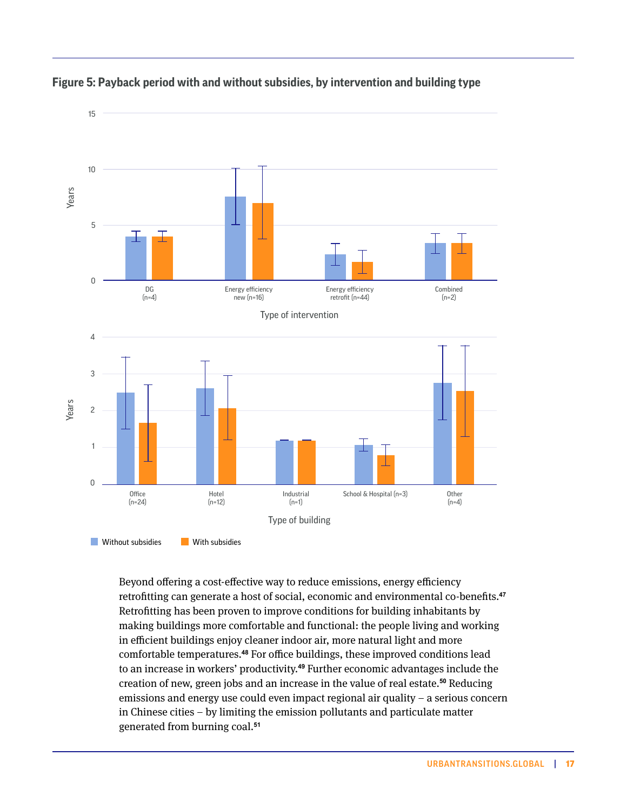

#### **Figure 5: Payback period with and without subsidies, by intervention and building type**

Beyond offering a cost-effective way to reduce emissions, energy efficiency retrofitting can generate a host of social, economic and environmental co-benefits.**<sup>47</sup>** Retrofitting has been proven to improve conditions for building inhabitants by making buildings more comfortable and functional: the people living and working in efficient buildings enjoy cleaner indoor air, more natural light and more comfortable temperatures.**48** For office buildings, these improved conditions lead to an increase in workers' productivity.**49** Further economic advantages include the creation of new, green jobs and an increase in the value of real estate.**50** Reducing emissions and energy use could even impact regional air quality – a serious concern in Chinese cities – by limiting the emission pollutants and particulate matter generated from burning coal.**<sup>51</sup>**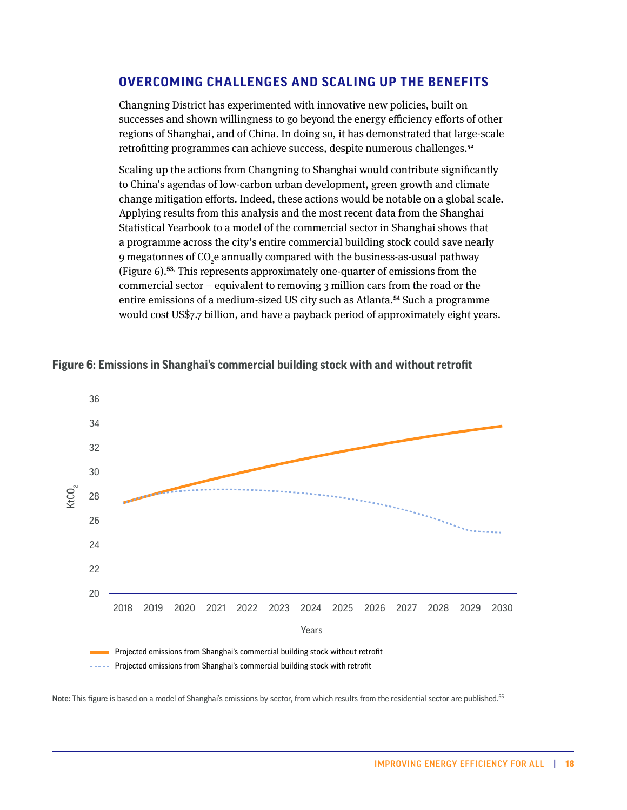### **OVERCOMING CHALLENGES AND SCALING UP THE BENEFITS**

Changning District has experimented with innovative new policies, built on successes and shown willingness to go beyond the energy efficiency efforts of other regions of Shanghai, and of China. In doing so, it has demonstrated that large-scale retrofitting programmes can achieve success, despite numerous challenges.**<sup>52</sup>**

Scaling up the actions from Changning to Shanghai would contribute significantly to China's agendas of low-carbon urban development, green growth and climate change mitigation efforts. Indeed, these actions would be notable on a global scale. Applying results from this analysis and the most recent data from the Shanghai Statistical Yearbook to a model of the commercial sector in Shanghai shows that a programme across the city's entire commercial building stock could save nearly 9 megatonnes of CO<sub>2</sub>e annually compared with the business-as-usual pathway (Figure 6).**53**, This represents approximately one-quarter of emissions from the commercial sector – equivalent to removing 3 million cars from the road or the entire emissions of a medium-sized US city such as Atlanta.**54** Such a programme would cost US\$7.7 billion, and have a payback period of approximately eight years.



#### **Figure 6: Emissions in Shanghai's commercial building stock with and without retrofit**

**Projected emissions from Shanghai's commercial building stock with retrofit** 

Note: This figure is based on a model of Shanghai's emissions by sector, from which results from the residential sector are published.<sup>55</sup>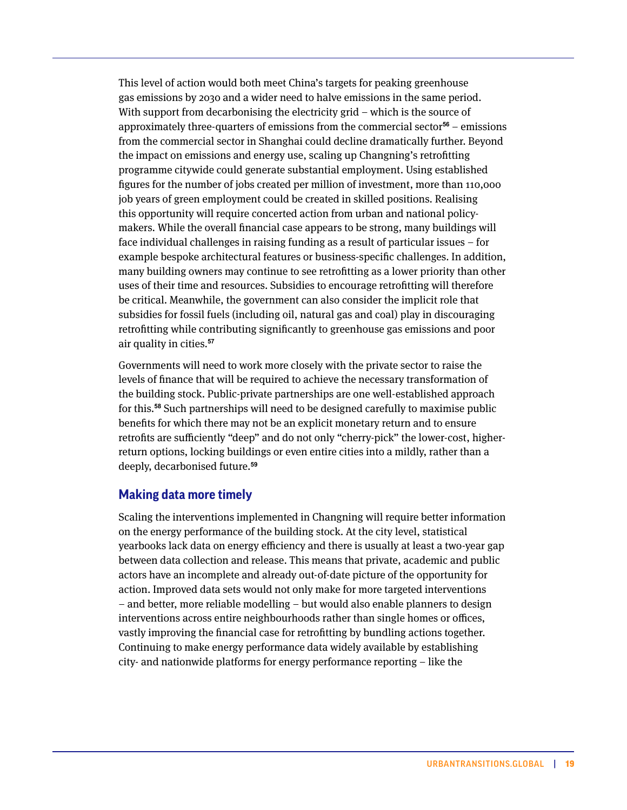This level of action would both meet China's targets for peaking greenhouse gas emissions by 2030 and a wider need to halve emissions in the same period. With support from decarbonising the electricity grid – which is the source of approximately three-quarters of emissions from the commercial sector**56** – emissions from the commercial sector in Shanghai could decline dramatically further. Beyond the impact on emissions and energy use, scaling up Changning's retrofitting programme citywide could generate substantial employment. Using established figures for the number of jobs created per million of investment, more than 110,000 job years of green employment could be created in skilled positions. Realising this opportunity will require concerted action from urban and national policymakers. While the overall financial case appears to be strong, many buildings will face individual challenges in raising funding as a result of particular issues – for example bespoke architectural features or business-specific challenges. In addition, many building owners may continue to see retrofitting as a lower priority than other uses of their time and resources. Subsidies to encourage retrofitting will therefore be critical. Meanwhile, the government can also consider the implicit role that subsidies for fossil fuels (including oil, natural gas and coal) play in discouraging retrofitting while contributing significantly to greenhouse gas emissions and poor air quality in cities.**<sup>57</sup>**

Governments will need to work more closely with the private sector to raise the levels of finance that will be required to achieve the necessary transformation of the building stock. Public-private partnerships are one well-established approach for this.**58** Such partnerships will need to be designed carefully to maximise public benefits for which there may not be an explicit monetary return and to ensure retrofits are sufficiently "deep" and do not only "cherry-pick" the lower-cost, higherreturn options, locking buildings or even entire cities into a mildly, rather than a deeply, decarbonised future.**<sup>59</sup>**

#### **Making data more timely**

Scaling the interventions implemented in Changning will require better information on the energy performance of the building stock. At the city level, statistical yearbooks lack data on energy efficiency and there is usually at least a two-year gap between data collection and release. This means that private, academic and public actors have an incomplete and already out-of-date picture of the opportunity for action. Improved data sets would not only make for more targeted interventions – and better, more reliable modelling – but would also enable planners to design interventions across entire neighbourhoods rather than single homes or offices, vastly improving the financial case for retrofitting by bundling actions together. Continuing to make energy performance data widely available by establishing city- and nationwide platforms for energy performance reporting – like the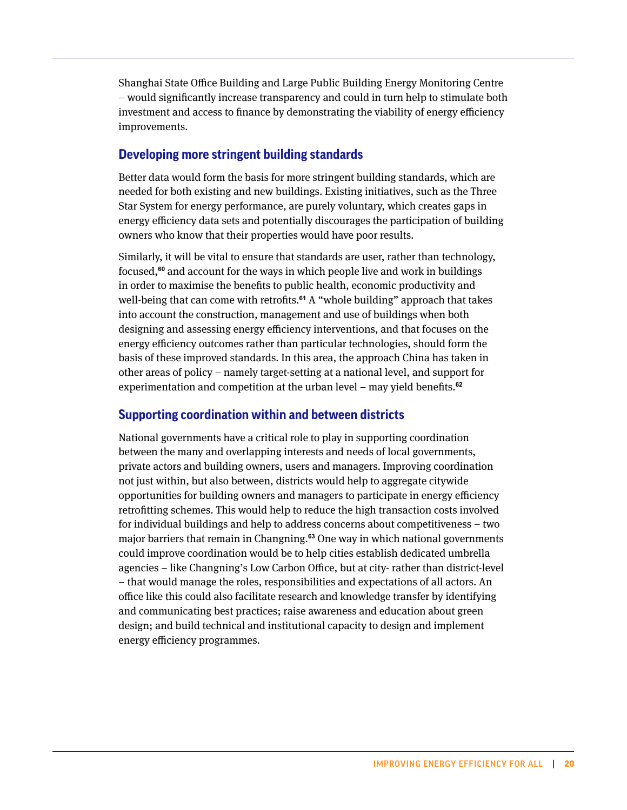Shanghai State Office Building and Large Public Building Energy Monitoring Centre – would significantly increase transparency and could in turn help to stimulate both investment and access to finance by demonstrating the viability of energy efficiency improvements.

### **Developing more stringent building standards**

Better data would form the basis for more stringent building standards, which are needed for both existing and new buildings. Existing initiatives, such as the Three Star System for energy performance, are purely voluntary, which creates gaps in energy efficiency data sets and potentially discourages the participation of building owners who know that their properties would have poor results.

Similarly, it will be vital to ensure that standards are user, rather than technology, focused,**60** and account for the ways in which people live and work in buildings in order to maximise the benefits to public health, economic productivity and well-being that can come with retrofits.**61** A "whole building" approach that takes into account the construction, management and use of buildings when both designing and assessing energy efficiency interventions, and that focuses on the energy efficiency outcomes rather than particular technologies, should form the basis of these improved standards. In this area, the approach China has taken in other areas of policy – namely target-setting at a national level, and support for experimentation and competition at the urban level – may yield benefits.**<sup>62</sup>**

### **Supporting coordination within and between districts**

National governments have a critical role to play in supporting coordination between the many and overlapping interests and needs of local governments, private actors and building owners, users and managers. Improving coordination not just within, but also between, districts would help to aggregate citywide opportunities for building owners and managers to participate in energy efficiency retrofitting schemes. This would help to reduce the high transaction costs involved for individual buildings and help to address concerns about competitiveness – two major barriers that remain in Changning.**63** One way in which national governments could improve coordination would be to help cities establish dedicated umbrella agencies – like Changning's Low Carbon Office, but at city- rather than district-level – that would manage the roles, responsibilities and expectations of all actors. An office like this could also facilitate research and knowledge transfer by identifying and communicating best practices; raise awareness and education about green design; and build technical and institutional capacity to design and implement energy efficiency programmes.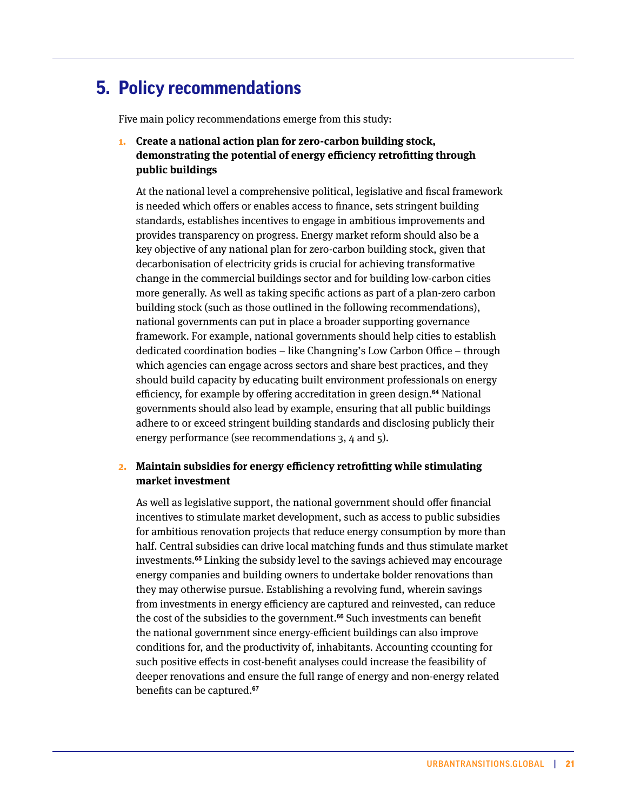# <span id="page-20-0"></span>**Policy recommendations 5.**

Five main policy recommendations emerge from this study:

### **1. Create a national action plan for zero-carbon building stock, demonstrating the potential of energy efficiency retrofitting through public buildings**

At the national level a comprehensive political, legislative and fiscal framework is needed which offers or enables access to finance, sets stringent building standards, establishes incentives to engage in ambitious improvements and provides transparency on progress. Energy market reform should also be a key objective of any national plan for zero-carbon building stock, given that decarbonisation of electricity grids is crucial for achieving transformative change in the commercial buildings sector and for building low-carbon cities more generally. As well as taking specific actions as part of a plan-zero carbon building stock (such as those outlined in the following recommendations), national governments can put in place a broader supporting governance framework. For example, national governments should help cities to establish dedicated coordination bodies – like Changning's Low Carbon Office – through which agencies can engage across sectors and share best practices, and they should build capacity by educating built environment professionals on energy efficiency, for example by offering accreditation in green design.**64** National governments should also lead by example, ensuring that all public buildings adhere to or exceed stringent building standards and disclosing publicly their energy performance (see recommendations 3, 4 and 5).

#### **2. Maintain subsidies for energy efficiency retrofitting while stimulating market investment**

As well as legislative support, the national government should offer financial incentives to stimulate market development, such as access to public subsidies for ambitious renovation projects that reduce energy consumption by more than half. Central subsidies can drive local matching funds and thus stimulate market investments.**65** Linking the subsidy level to the savings achieved may encourage energy companies and building owners to undertake bolder renovations than they may otherwise pursue. Establishing a revolving fund, wherein savings from investments in energy efficiency are captured and reinvested, can reduce the cost of the subsidies to the government.**66** Such investments can benefit the national government since energy-efficient buildings can also improve conditions for, and the productivity of, inhabitants. Accounting ccounting for such positive effects in cost-benefit analyses could increase the feasibility of deeper renovations and ensure the full range of energy and non-energy related benefits can be captured.**<sup>67</sup>**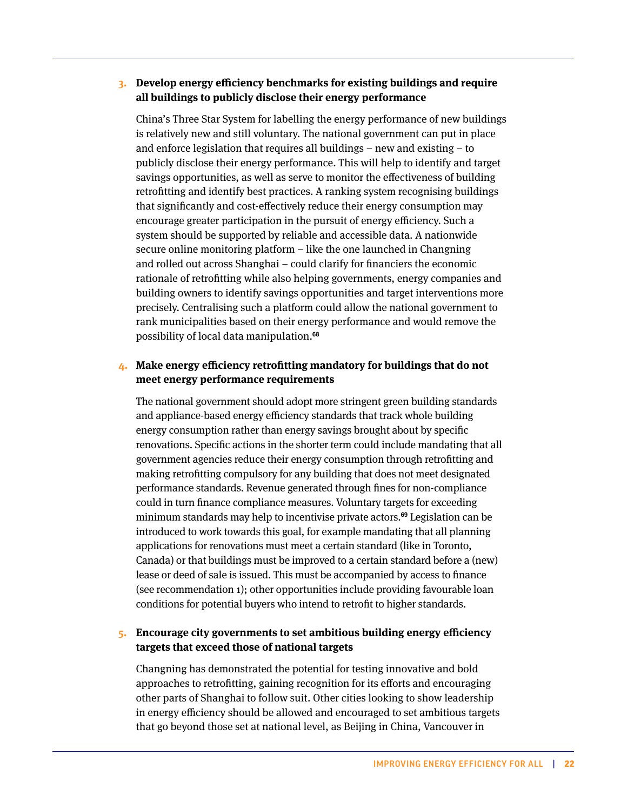#### **3. Develop energy efficiency benchmarks for existing buildings and require all buildings to publicly disclose their energy performance**

China's Three Star System for labelling the energy performance of new buildings is relatively new and still voluntary. The national government can put in place and enforce legislation that requires all buildings – new and existing – to publicly disclose their energy performance. This will help to identify and target savings opportunities, as well as serve to monitor the effectiveness of building retrofitting and identify best practices. A ranking system recognising buildings that significantly and cost-effectively reduce their energy consumption may encourage greater participation in the pursuit of energy efficiency. Such a system should be supported by reliable and accessible data. A nationwide secure online monitoring platform – like the one launched in Changning and rolled out across Shanghai – could clarify for financiers the economic rationale of retrofitting while also helping governments, energy companies and building owners to identify savings opportunities and target interventions more precisely. Centralising such a platform could allow the national government to rank municipalities based on their energy performance and would remove the possibility of local data manipulation.**<sup>68</sup>**

#### **4. Make energy efficiency retrofitting mandatory for buildings that do not meet energy performance requirements**

The national government should adopt more stringent green building standards and appliance-based energy efficiency standards that track whole building energy consumption rather than energy savings brought about by specific renovations. Specific actions in the shorter term could include mandating that all government agencies reduce their energy consumption through retrofitting and making retrofitting compulsory for any building that does not meet designated performance standards. Revenue generated through fines for non-compliance could in turn finance compliance measures. Voluntary targets for exceeding minimum standards may help to incentivise private actors.**69** Legislation can be introduced to work towards this goal, for example mandating that all planning applications for renovations must meet a certain standard (like in Toronto, Canada) or that buildings must be improved to a certain standard before a (new) lease or deed of sale is issued. This must be accompanied by access to finance (see recommendation 1); other opportunities include providing favourable loan conditions for potential buyers who intend to retrofit to higher standards.

### **5. Encourage city governments to set ambitious building energy efficiency targets that exceed those of national targets**

Changning has demonstrated the potential for testing innovative and bold approaches to retrofitting, gaining recognition for its efforts and encouraging other parts of Shanghai to follow suit. Other cities looking to show leadership in energy efficiency should be allowed and encouraged to set ambitious targets that go beyond those set at national level, as Beijing in China, Vancouver in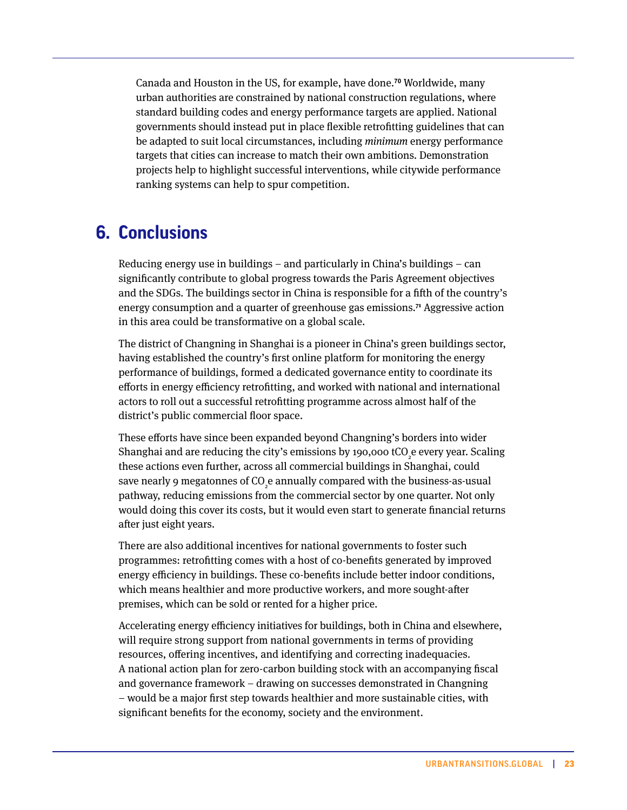<span id="page-22-0"></span>Canada and Houston in the US, for example, have done.**70** Worldwide, many urban authorities are constrained by national construction regulations, where standard building codes and energy performance targets are applied. National governments should instead put in place flexible retrofitting guidelines that can be adapted to suit local circumstances, including *minimum* energy performance targets that cities can increase to match their own ambitions. Demonstration projects help to highlight successful interventions, while citywide performance ranking systems can help to spur competition.

# **Conclusions 6.**

Reducing energy use in buildings – and particularly in China's buildings – can significantly contribute to global progress towards the Paris Agreement objectives and the SDGs. The buildings sector in China is responsible for a fifth of the country's energy consumption and a quarter of greenhouse gas emissions.**<sup>71</sup>** Aggressive action in this area could be transformative on a global scale.

The district of Changning in Shanghai is a pioneer in China's green buildings sector, having established the country's first online platform for monitoring the energy performance of buildings, formed a dedicated governance entity to coordinate its efforts in energy efficiency retrofitting, and worked with national and international actors to roll out a successful retrofitting programme across almost half of the district's public commercial floor space.

These efforts have since been expanded beyond Changning's borders into wider Shanghai and are reducing the city's emissions by 190,000 tCO<sub>2</sub>e every year. Scaling these actions even further, across all commercial buildings in Shanghai, could save nearly 9 megatonnes of CO<sub>2</sub>e annually compared with the business-as-usual pathway, reducing emissions from the commercial sector by one quarter. Not only would doing this cover its costs, but it would even start to generate financial returns after just eight years.

There are also additional incentives for national governments to foster such programmes: retrofitting comes with a host of co-benefits generated by improved energy efficiency in buildings. These co-benefits include better indoor conditions, which means healthier and more productive workers, and more sought-after premises, which can be sold or rented for a higher price.

Accelerating energy efficiency initiatives for buildings, both in China and elsewhere, will require strong support from national governments in terms of providing resources, offering incentives, and identifying and correcting inadequacies. A national action plan for zero-carbon building stock with an accompanying fiscal and governance framework – drawing on successes demonstrated in Changning – would be a major first step towards healthier and more sustainable cities, with significant benefits for the economy, society and the environment.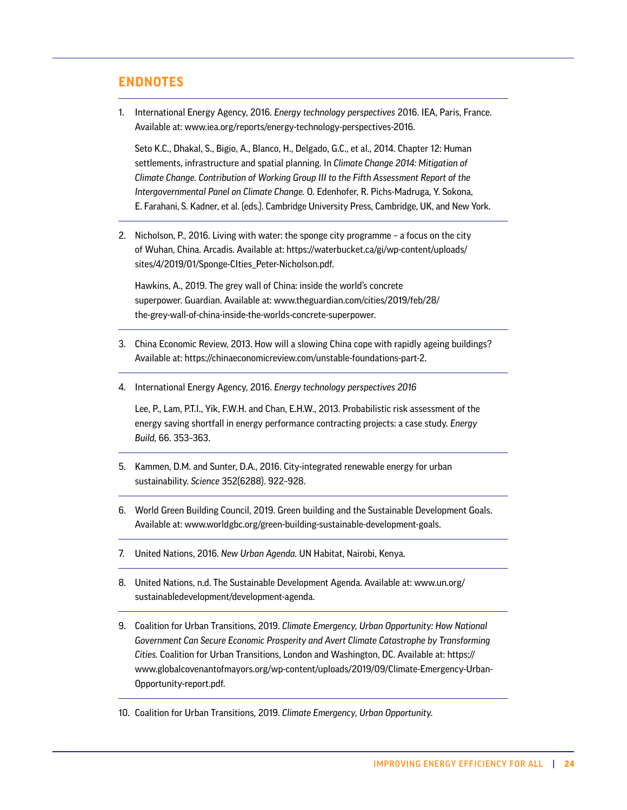## <span id="page-23-0"></span>**ENDNOTES**

1. International Energy Agency, 2016. *Energy technology perspectives* 2016. IEA, Paris, France. Available at: [www.iea.org/reports/energy-technology-perspectives-2016.](https://www.iea.org/reports/energy-technology-perspectives-2016)

Seto K.C., Dhakal, S., Bigio, A., Blanco, H., Delgado, G.C., et al., 2014. Chapter 12: Human settlements, infrastructure and spatial planning. In *Climate Change 2014: Mitigation of Climate Change. Contribution of Working Group III to the Fifth Assessment Report of the Intergovernmental Panel on Climate Change.* O. Edenhofer, R. Pichs-Madruga, Y. Sokona, E. Farahani, S. Kadner, et al. (eds.). Cambridge University Press, Cambridge, UK, and New York.

2. Nicholson, P., 2016. Living with water: the sponge city programme – a focus on the city of Wuhan, China. Arcadis. Available at: [https://waterbucket.ca/gi/wp-content/uploads/](https://waterbucket.ca/gi/wp-content/uploads/sites/4/2019/01/Sponge-CIties_Peter-Nicholson.pdf) [sites/4/2019/01/Sponge-CIties\\_Peter-Nicholson.pdf](https://waterbucket.ca/gi/wp-content/uploads/sites/4/2019/01/Sponge-CIties_Peter-Nicholson.pdf).

Hawkins, A., 2019. The grey wall of China: inside the world's concrete superpower. Guardian. Available at: [www.theguardian.com/cities/2019/feb/28/](https://www.theguardian.com/cities/2019/feb/28/the-grey-wall-of-china-inside-the-worlds-concrete-superpower) [the-grey-wall-of-china-inside-the-worlds-concrete-superpower](https://www.theguardian.com/cities/2019/feb/28/the-grey-wall-of-china-inside-the-worlds-concrete-superpower).

- 3. China Economic Review, 2013. How will a slowing China cope with rapidly ageing buildings? Available at: [https://chinaeconomicreview.com/unstable-foundations-part-2.](https://chinaeconomicreview.com/unstable-foundations-part-2/)
- 4. International Energy Agency, 2016. *Energy technology perspectives 2016*

Lee, P., Lam, P.T.I., Yik, F.W.H. and Chan, E.H.W., 2013. Probabilistic risk assessment of the energy saving shortfall in energy performance contracting projects: a case study. *Energy Build,* 66. 353–363.

- 5. Kammen, D.M. and Sunter, D.A., 2016. City-integrated renewable energy for urban sustainability. *Science* 352(6288). 922–928.
- 6. World Green Building Council, 2019. Green building and the Sustainable Development Goals. Available at: [www.worldgbc.org/green-building-sustainable-development-goals.](https://www.worldgbc.org/green-building-sustainable-development-goals)
- 7. United Nations, 2016. *New Urban Agenda.* UN Habitat, Nairobi, Kenya.
- 8. United Nations, n.d. The Sustainable Development Agenda. Available at: [www.un.org/](http://www.un.org/sustainabledevelopment/development-agenda) [sustainabledevelopment/development-agenda](http://www.un.org/sustainabledevelopment/development-agenda).
- 9. Coalition for Urban Transitions, 2019. *Climate Emergency, Urban Opportunity: How National Government Can Secure Economic Prosperity and Avert Climate Catastrophe by Transforming Cities.* Coalition for Urban Transitions, London and Washington, DC. Available at: [https://](https://www.globalcovenantofmayors.org/wp-content/uploads/2019/09/Climate-Emergency-Urban-Opportunity-report.pdf) [www.globalcovenantofmayors.org/wp-content/uploads/2019/09/Climate-Emergency-Urban-](https://www.globalcovenantofmayors.org/wp-content/uploads/2019/09/Climate-Emergency-Urban-Opportunity-report.pdf)[Opportunity-report.pdf](https://www.globalcovenantofmayors.org/wp-content/uploads/2019/09/Climate-Emergency-Urban-Opportunity-report.pdf).
- 10. Coalition for Urban Transitions, 2019. *Climate Emergency, Urban Opportunity.*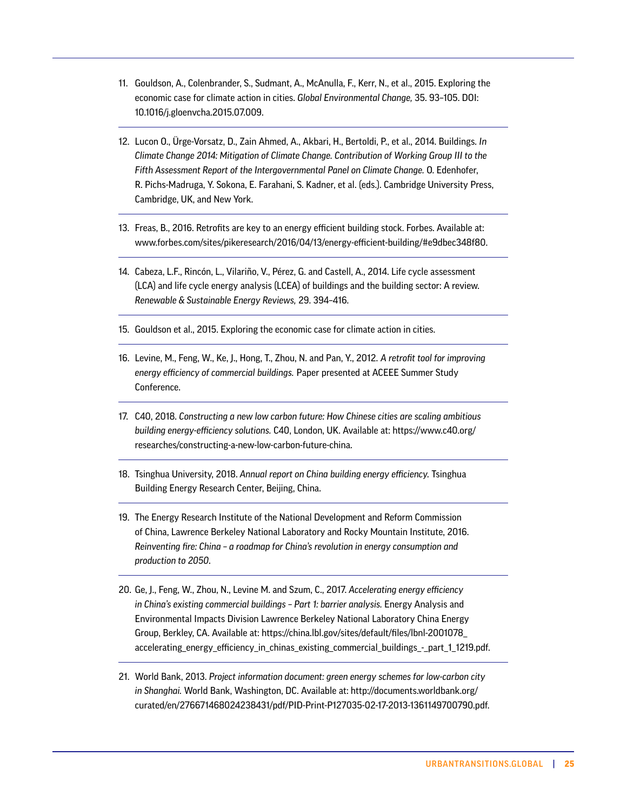- 11. Gouldson, A., Colenbrander, S., Sudmant, A., McAnulla, F., Kerr, N., et al., 2015. Exploring the economic case for climate action in cities. *Global Environmental Change,* 35. 93–105. DOI: 10.1016/j.gloenvcha.2015.07.009.
- 12. Lucon O., Ürge-Vorsatz, D., Zain Ahmed, A., Akbari, H., Bertoldi, P., et al., 2014. Buildings. *In Climate Change 2014: Mitigation of Climate Change. Contribution of Working Group III to the Fifth Assessment Report of the Intergovernmental Panel on Climate Change.* O. Edenhofer, R. Pichs-Madruga, Y. Sokona, E. Farahani, S. Kadner, et al. (eds.). Cambridge University Press, Cambridge, UK, and New York.
- 13. Freas, B., 2016. Retrofits are key to an energy efficient building stock. Forbes. Available at: www.forbes.com/sites/pikeresearch/2016/04/13/energy-efficient-building/#e9dbec348f80.
- 14. Cabeza, L.F., Rincón, L., Vilariño, V., Pérez, G. and Castell, A., 2014. Life cycle assessment (LCA) and life cycle energy analysis (LCEA) of buildings and the building sector: A review. *Renewable & Sustainable Energy Reviews,* 29. 394–416.
- 15. Gouldson et al., 2015. Exploring the economic case for climate action in cities.
- 16. Levine, M., Feng, W., Ke, J., Hong, T., Zhou, N. and Pan, Y., 2012. *A retrofit tool for improving energy efficiency of commercial buildings.* Paper presented at ACEEE Summer Study Conference.
- 17. C40, 2018. *Constructing a new low carbon future: How Chinese cities are scaling ambitious building energy-efficiency solutions.* C40, London, UK. Available at: [https://www.c40.org/](https://www.c40.org/researches/constructing-a-new-low-carbon-future-china) [researches/constructing-a-new-low-carbon-future-china](https://www.c40.org/researches/constructing-a-new-low-carbon-future-china).
- 18. Tsinghua University, 2018. *Annual report on China building energy efficiency.* Tsinghua Building Energy Research Center, Beijing, China.
- 19. The Energy Research Institute of the National Development and Reform Commission of China, Lawrence Berkeley National Laboratory and Rocky Mountain Institute, 2016. *Reinventing fire: China – a roadmap for China's revolution in energy consumption and production to 2050*.
- 20. Ge, J., Feng, W., Zhou, N., Levine M. and Szum, C., 2017. *Accelerating energy efficiency in China's existing commercial buildings – Part 1: barrier analysis.* Energy Analysis and Environmental Impacts Division Lawrence Berkeley National Laboratory China Energy Group, Berkley, CA. Available at: [https://china.lbl.gov/sites/default/files/lbnl-2001078\\_](https://china.lbl.gov/sites/default/files/lbnl-2001078_accelerating_energy_efficiency_in_chinas_existing_commercial_buildings_-_part_1_1219.pdf) [accelerating\\_energy\\_efficiency\\_in\\_chinas\\_existing\\_commercial\\_buildings\\_-\\_part\\_1\\_1219.pdf.](https://china.lbl.gov/sites/default/files/lbnl-2001078_accelerating_energy_efficiency_in_chinas_existing_commercial_buildings_-_part_1_1219.pdf)
- 21. World Bank, 2013. *Project information document: green energy schemes for low-carbon city in Shanghai.* World Bank, Washington, DC. Available at: [http://documents.worldbank.org/](http://documents.worldbank.org/curated/en/276671468024238431/pdf/PID-Print-P127035-02-17-2013-1361149700790.pdf) [curated/en/276671468024238431/pdf/PID-Print-P127035-02-17-2013-1361149700790.pdf](http://documents.worldbank.org/curated/en/276671468024238431/pdf/PID-Print-P127035-02-17-2013-1361149700790.pdf).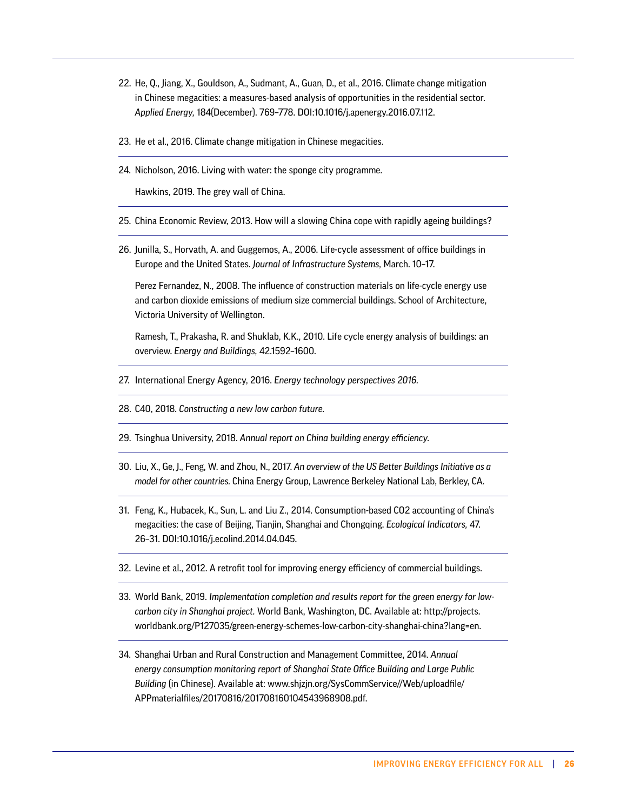- 22. He, Q., Jiang, X., Gouldson, A., Sudmant, A., Guan, D., et al., 2016. Climate change mitigation in Chinese megacities: a measures-based analysis of opportunities in the residential sector. *Applied Energy,* 184(December). 769–778. DOI:10.1016/j.apenergy.2016.07.112.
- 23. He et al., 2016. Climate change mitigation in Chinese megacities.
- 24. Nicholson, 2016. Living with water: the sponge city programme.

Hawkins, 2019. The grey wall of China.

- 25. China Economic Review, 2013. How will a slowing China cope with rapidly ageing buildings?
- 26. Junilla, S., Horvath, A. and Guggemos, A., 2006. Life-cycle assessment of office buildings in Europe and the United States. *Journal of Infrastructure Systems,* March. 10–17.

Perez Fernandez, N., 2008. The influence of construction materials on life-cycle energy use and carbon dioxide emissions of medium size commercial buildings. School of Architecture, Victoria University of Wellington.

Ramesh, T., Prakasha, R. and Shuklab, K.K., 2010. Life cycle energy analysis of buildings: an overview. *Energy and Buildings,* 42.1592–1600.

- 27. International Energy Agency, 2016. *Energy technology perspectives 2016.*
- 28. C40, 2018. *Constructing a new low carbon future.*
- 29. Tsinghua University, 2018. *Annual report on China building energy efficiency.*
- 30. Liu, X., Ge, J., Feng, W. and Zhou, N., 2017. *An overview of the US Better Buildings Initiative as a model for other countries.* China Energy Group, Lawrence Berkeley National Lab, Berkley, CA.
- 31. Feng, K., Hubacek, K., Sun, L. and Liu Z., 2014. Consumption-based CO2 accounting of China's megacities: the case of Beijing, Tianjin, Shanghai and Chongqing. *Ecological Indicators,* 47. 26–31. DOI:10.1016/j.ecolind.2014.04.045.
- 32. Levine et al., 2012. A retrofit tool for improving energy efficiency of commercial buildings.
- 33. World Bank, 2019. *Implementation completion and results report for the green energy for lowcarbon city in Shanghai project.* World Bank, Washington, DC. Available at: [http://projects.](http://projects.worldbank.org/P127035/green-energy-schemes-low-carbon-city-shanghai-china?lang=en) [worldbank.org/P127035/green-energy-schemes-low-carbon-city-shanghai-china?lang=en](http://projects.worldbank.org/P127035/green-energy-schemes-low-carbon-city-shanghai-china?lang=en).
- 34. Shanghai Urban and Rural Construction and Management Committee, 2014. *Annual energy consumption monitoring report of Shanghai State Office Building and Large Public Building* (in Chinese). Available at: [www.shjzjn.org/SysCommService//Web/uploadfile/](http://www.shjzjn.org/SysCommService//Web/uploadfile/APPmaterialfiles/20170816/201708160104543968908.pdf) [APPmaterialfiles/20170816/201708160104543968908.pdf.](http://www.shjzjn.org/SysCommService//Web/uploadfile/APPmaterialfiles/20170816/201708160104543968908.pdf)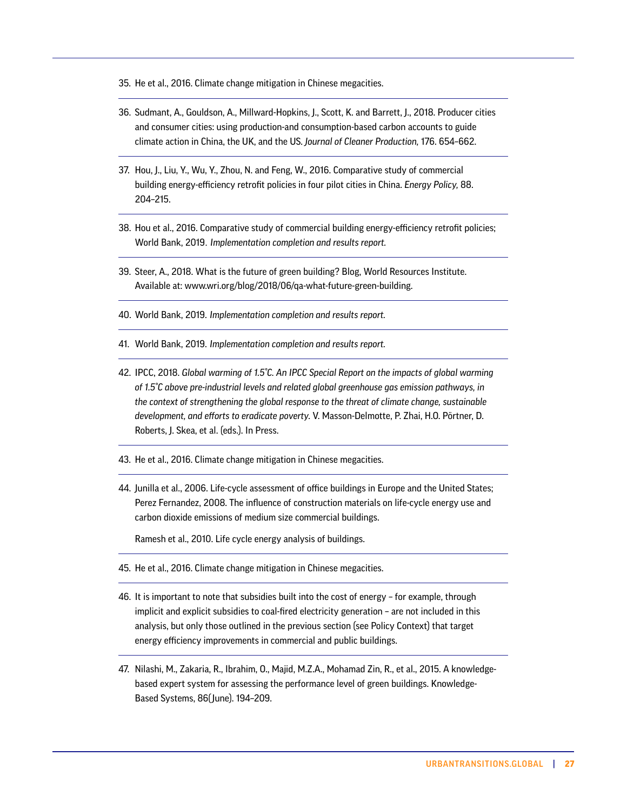- 35. He et al., 2016. Climate change mitigation in Chinese megacities.
- 36. Sudmant, A., Gouldson, A., Millward-Hopkins, J., Scott, K. and Barrett, J., 2018. Producer cities and consumer cities: using production-and consumption-based carbon accounts to guide climate action in China, the UK, and the US. *Journal of Cleaner Production,* 176. 654–662.
- 37. Hou, J., Liu, Y., Wu, Y., Zhou, N. and Feng, W., 2016. Comparative study of commercial building energy-efficiency retrofit policies in four pilot cities in China. *Energy Policy,* 88. 204–215.
- 38. Hou et al., 2016. Comparative study of commercial building energy-efficiency retrofit policies; World Bank, 2019. *Implementation completion and results report.*
- 39. Steer, A., 2018. What is the future of green building? Blog, World Resources Institute. Available at: [www.wri.org/blog/2018/06/qa-what-future-green-building](https://www.wri.org/blog/2018/06/qa-what-future-green-building).
- 40. World Bank, 2019. *Implementation completion and results report.*
- 41. World Bank, 2019. *Implementation completion and results report.*
- 42. IPCC, 2018. *Global warming of 1.5°C. An IPCC Special Report on the impacts of global warming of 1.5°C above pre-industrial levels and related global greenhouse gas emission pathways, in the context of strengthening the global response to the threat of climate change, sustainable development, and efforts to eradicate poverty.* V. Masson-Delmotte, P. Zhai, H.O. Pörtner, D. Roberts, J. Skea, et al. (eds.). In Press.
- 43. He et al., 2016. Climate change mitigation in Chinese megacities.
- 44. Junilla et al., 2006. Life-cycle assessment of office buildings in Europe and the United States; Perez Fernandez, 2008. The influence of construction materials on life-cycle energy use and carbon dioxide emissions of medium size commercial buildings.

Ramesh et al., 2010. Life cycle energy analysis of buildings.

- 45. He et al., 2016. Climate change mitigation in Chinese megacities.
- 46. It is important to note that subsidies built into the cost of energy for example, through implicit and explicit subsidies to coal-fired electricity generation – are not included in this analysis, but only those outlined in the previous section (see Policy Context) that target energy efficiency improvements in commercial and public buildings.
- 47. Nilashi, M., Zakaria, R., Ibrahim, O., Majid, M.Z.A., Mohamad Zin, R., et al., 2015. A knowledgebased expert system for assessing the performance level of green buildings. Knowledge-Based Systems, 86( June). 194–209.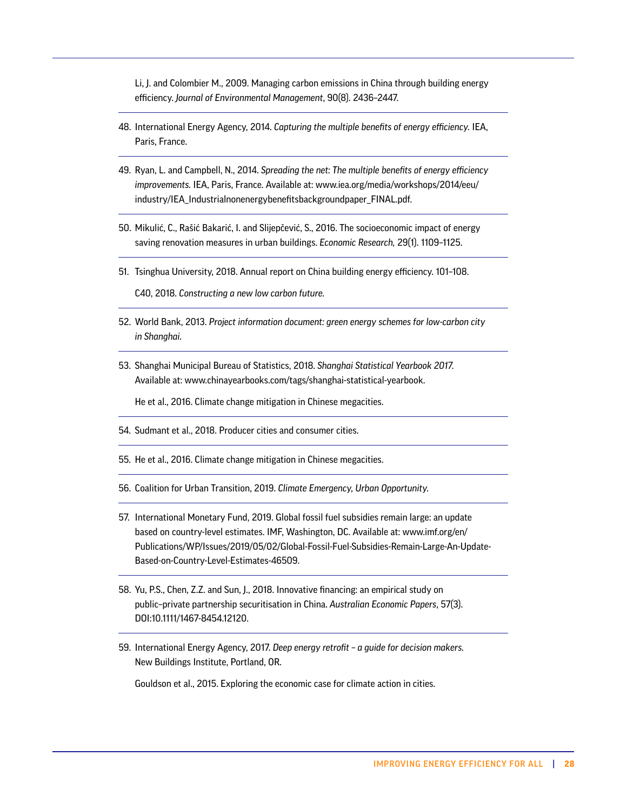Li, J. and Colombier M., 2009. Managing carbon emissions in China through building energy efficiency. *Journal of Environmental Management*, 90(8). 2436–2447.

- 48. International Energy Agency, 2014. *Capturing the multiple benefits of energy efficiency.* IEA, Paris, France.
- 49. Ryan, L. and Campbell, N., 2014. *Spreading the net: The multiple benefits of energy efficiency improvements.* IEA, Paris, France. Available at: [www.iea.org/media/workshops/2014/eeu/](http://www.iea.org/media/workshops/2014/eeu/industry/IEA_Industrialnonenergybenefitsbackgroundpaper_FINAL.pdf) [industry/IEA\\_Industrialnonenergybenefitsbackgroundpaper\\_FINAL.pdf](http://www.iea.org/media/workshops/2014/eeu/industry/IEA_Industrialnonenergybenefitsbackgroundpaper_FINAL.pdf).
- 50. Mikulić, C., Rašić Bakarić, I. and Slijepčević, S., 2016. The socioeconomic impact of energy saving renovation measures in urban buildings. *Economic Research,* 29(1). 1109–1125.
- 51. Tsinghua University, 2018. Annual report on China building energy efficiency. 101–108.

C40, 2018. *Constructing a new low carbon future.* 

- 52. World Bank, 2013. *Project information document: green energy schemes for low-carbon city in Shanghai.*
- 53. Shanghai Municipal Bureau of Statistics, 2018. *Shanghai Statistical Yearbook 2017.* Available at: [www.chinayearbooks.com/tags/shanghai-statistical-yearbook](https://www.chinayearbooks.com/tags/shanghai-statistical-yearbook).

He et al., 2016. Climate change mitigation in Chinese megacities.

- 54. Sudmant et al., 2018. Producer cities and consumer cities.
- 55. He et al., 2016. Climate change mitigation in Chinese megacities.
- 56. Coalition for Urban Transition, 2019. *Climate Emergency, Urban Opportunity.*
- 57. International Monetary Fund, 2019. Global fossil fuel subsidies remain large: an update based on country-level estimates. IMF, Washington, DC. Available at: [www.imf.org/en/](https://www.imf.org/en/Publications/WP/Issues/2019/05/02/Global-Fossil-Fuel-Subsidies-Remain-Large-An-Update-Based-on-Country-Level-Estimates-46509) [Publications/WP/Issues/2019/05/02/Global-Fossil-Fuel-Subsidies-Remain-Large-An-Update-](https://www.imf.org/en/Publications/WP/Issues/2019/05/02/Global-Fossil-Fuel-Subsidies-Remain-Large-An-Update-Based-on-Country-Level-Estimates-46509)[Based-on-Country-Level-Estimates-46509.](https://www.imf.org/en/Publications/WP/Issues/2019/05/02/Global-Fossil-Fuel-Subsidies-Remain-Large-An-Update-Based-on-Country-Level-Estimates-46509)
- 58. Yu, P.S., Chen, Z.Z. and Sun, J., 2018. Innovative financing: an empirical study on public–private partnership securitisation in China. *Australian Economic Papers*, 57(3). DOI[:10.1111/1467-8454.12120.](https://doi.org/10.1111/1467-8454.12120)
- 59. International Energy Agency, 2017. *Deep energy retrofit a guide for decision makers.*  New Buildings Institute, Portland, OR.

Gouldson et al., 2015. Exploring the economic case for climate action in cities.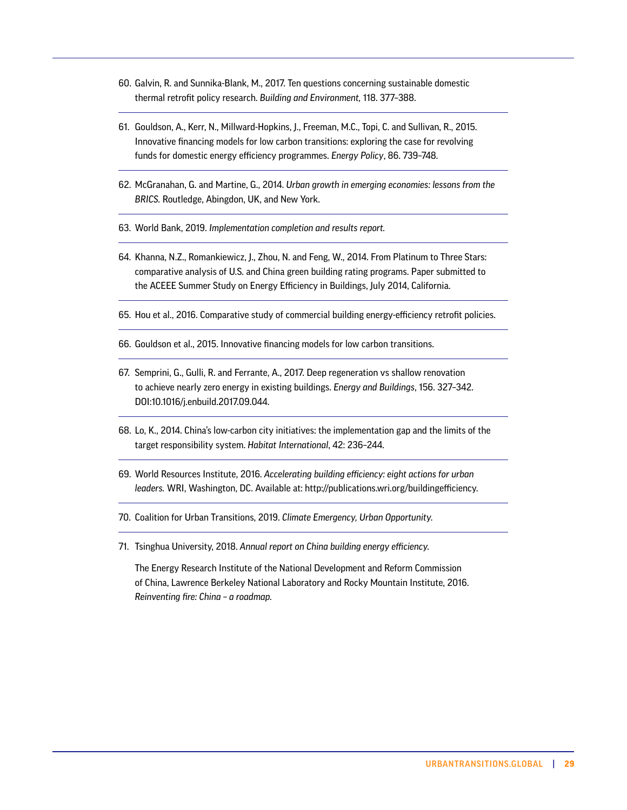- 60. Galvin, R. and Sunnika-Blank, M., 2017. Ten questions concerning sustainable domestic thermal retrofit policy research. *Building and Environment,* 118. 377–388.
- 61. Gouldson, A., Kerr, N., Millward-Hopkins, J., Freeman, M.C., Topi, C. and Sullivan, R., 2015. Innovative financing models for low carbon transitions: exploring the case for revolving funds for domestic energy efficiency programmes. *Energy Policy*, 86. 739–748.
- 62. McGranahan, G. and Martine, G., 2014. *Urban growth in emerging economies: lessons from the BRICS.* Routledge, Abingdon, UK, and New York.
- 63. World Bank, 2019. *Implementation completion and results report.*
- 64. Khanna, N.Z., Romankiewicz, J., Zhou, N. and Feng, W., 2014. From Platinum to Three Stars: comparative analysis of U.S. and China green building rating programs. Paper submitted to the ACEEE Summer Study on Energy Efficiency in Buildings, July 2014, California.
- 65. Hou et al., 2016. Comparative study of commercial building energy-efficiency retrofit policies.
- 66. Gouldson et al., 2015. Innovative financing models for low carbon transitions.
- 67. Semprini, G., Gulli, R. and Ferrante, A., 2017. Deep regeneration vs shallow renovation to achieve nearly zero energy in existing buildings. *Energy and Buildings*, 156. 327–342. DOI:10.1016/j.enbuild.2017.09.044.
- 68. Lo, K., 2014. China's low-carbon city initiatives: the implementation gap and the limits of the target responsibility system. *Habitat International*, 42: 236–244.
- 69. World Resources Institute, 2016. *Accelerating building efficiency: eight actions for urban leaders.* WRI, Washington, DC. Available at: [http://publications.wri.org/buildingefficiency](http://publications.wri.org/buildingefficiency/).
- 70. Coalition for Urban Transitions, 2019. *Climate Emergency, Urban Opportunity.*
- 71. Tsinghua University, 2018. *Annual report on China building energy efficiency.*

The Energy Research Institute of the National Development and Reform Commission of China, Lawrence Berkeley National Laboratory and Rocky Mountain Institute, 2016. *Reinventing fire: China – a roadmap.*